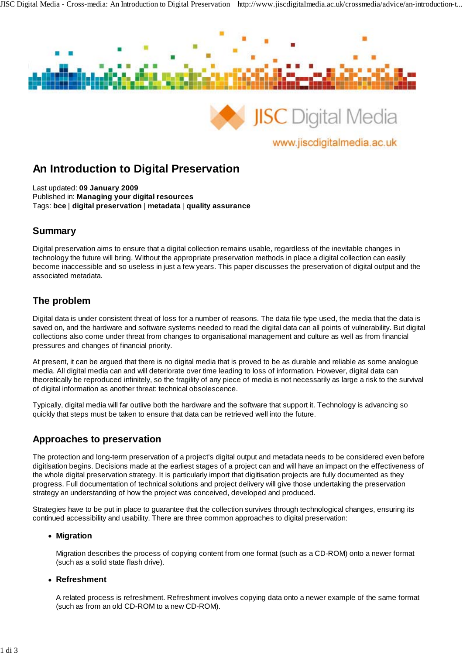

# www.jiscdigitalmedia.ac.uk

# **An Introduction to Digital Preservation**

Last updated: **09 January 2009** Published in: **Managing your digital resources** Tags: **bce** | **digital preservation** | **metadata** | **quality assurance**

## **Summary**

Digital preservation aims to ensure that a digital collection remains usable, regardless of the inevitable changes in technology the future will bring. Without the appropriate preservation methods in place a digital collection can easily become inaccessible and so useless in just a few years. This paper discusses the preservation of digital output and the associated metadata.

# **The problem**

Digital data is under consistent threat of loss for a number of reasons. The data file type used, the media that the data is saved on, and the hardware and software systems needed to read the digital data can all points of vulnerability. But digital collections also come under threat from changes to organisational management and culture as well as from financial pressures and changes of financial priority.

At present, it can be argued that there is no digital media that is proved to be as durable and reliable as some analogue media. All digital media can and will deteriorate over time leading to loss of information. However, digital data can theoretically be reproduced infinitely, so the fragility of any piece of media is not necessarily as large a risk to the survival of digital information as another threat: technical obsolescence.

Typically, digital media will far outlive both the hardware and the software that support it. Technology is advancing so quickly that steps must be taken to ensure that data can be retrieved well into the future.

### **Approaches to preservation**

The protection and long-term preservation of a project's digital output and metadata needs to be considered even before digitisation begins. Decisions made at the earliest stages of a project can and will have an impact on the effectiveness of the whole digital preservation strategy. It is particularly import that digitisation projects are fully documented as they progress. Full documentation of technical solutions and project delivery will give those undertaking the preservation strategy an understanding of how the project was conceived, developed and produced.

Strategies have to be put in place to guarantee that the collection survives through technological changes, ensuring its continued accessibility and usability. There are three common approaches to digital preservation:

#### **Migration**

Migration describes the process of copying content from one format (such as a CD-ROM) onto a newer format (such as a solid state flash drive).

#### **Refreshment**

A related process is refreshment. Refreshment involves copying data onto a newer example of the same format (such as from an old CD-ROM to a new CD-ROM).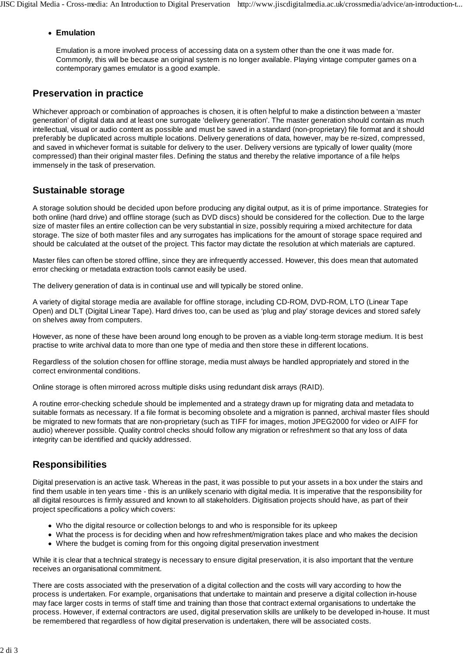#### **Emulation**

Emulation is a more involved process of accessing data on a system other than the one it was made for. Commonly, this will be because an original system is no longer available. Playing vintage computer games on a contemporary games emulator is a good example.

### **Preservation in practice**

Whichever approach or combination of approaches is chosen, it is often helpful to make a distinction between a 'master generation' of digital data and at least one surrogate 'delivery generation'. The master generation should contain as much intellectual, visual or audio content as possible and must be saved in a standard (non-proprietary) file format and it should preferably be duplicated across multiple locations. Delivery generations of data, however, may be re-sized, compressed, and saved in whichever format is suitable for delivery to the user. Delivery versions are typically of lower quality (more compressed) than their original master files. Defining the status and thereby the relative importance of a file helps immensely in the task of preservation.

### **Sustainable storage**

A storage solution should be decided upon before producing any digital output, as it is of prime importance. Strategies for both online (hard drive) and offline storage (such as DVD discs) should be considered for the collection. Due to the large size of master files an entire collection can be very substantial in size, possibly requiring a mixed architecture for data storage. The size of both master files and any surrogates has implications for the amount of storage space required and should be calculated at the outset of the project. This factor may dictate the resolution at which materials are captured.

Master files can often be stored offline, since they are infrequently accessed. However, this does mean that automated error checking or metadata extraction tools cannot easily be used.

The delivery generation of data is in continual use and will typically be stored online.

A variety of digital storage media are available for offline storage, including CD-ROM, DVD-ROM, LTO (Linear Tape Open) and DLT (Digital Linear Tape). Hard drives too, can be used as 'plug and play' storage devices and stored safely on shelves away from computers.

However, as none of these have been around long enough to be proven as a viable long-term storage medium. It is best practise to write archival data to more than one type of media and then store these in different locations.

Regardless of the solution chosen for offline storage, media must always be handled appropriately and stored in the correct environmental conditions.

Online storage is often mirrored across multiple disks using redundant disk arrays (RAID).

A routine error-checking schedule should be implemented and a strategy drawn up for migrating data and metadata to suitable formats as necessary. If a file format is becoming obsolete and a migration is panned, archival master files should be migrated to new formats that are non-proprietary (such as TIFF for images, motion JPEG2000 for video or AIFF for audio) wherever possible. Quality control checks should follow any migration or refreshment so that any loss of data integrity can be identified and quickly addressed.

### **Responsibilities**

Digital preservation is an active task. Whereas in the past, it was possible to put your assets in a box under the stairs and find them usable in ten years time - this is an unlikely scenario with digital media. It is imperative that the responsibility for all digital resources is firmly assured and known to all stakeholders. Digitisation projects should have, as part of their project specifications a policy which covers:

- Who the digital resource or collection belongs to and who is responsible for its upkeep
- What the process is for deciding when and how refreshment/migration takes place and who makes the decision
- Where the budget is coming from for this ongoing digital preservation investment

While it is clear that a technical strategy is necessary to ensure digital preservation, it is also important that the venture receives an organisational commitment.

There are costs associated with the preservation of a digital collection and the costs will vary according to how the process is undertaken. For example, organisations that undertake to maintain and preserve a digital collection in-house may face larger costs in terms of staff time and training than those that contract external organisations to undertake the process. However, if external contractors are used, digital preservation skills are unlikely to be developed in-house. It must be remembered that regardless of how digital preservation is undertaken, there will be associated costs.